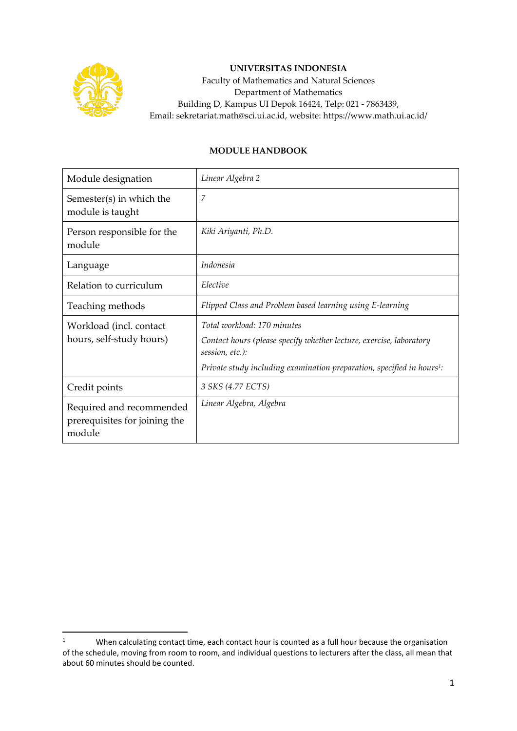

## **UNIVERSITAS INDONESIA**

Faculty of Mathematics and Natural Sciences Department of Mathematics Building D, Kampus UI Depok 16424, Telp: 021 - 7863439, Email: sekretariat.math@sci.ui.ac.id, website: https://www.math.ui.ac.id/

## **MODULE HANDBOOK**

| Module designation                                                  | Linear Algebra 2                                                                                                                                                                                            |  |
|---------------------------------------------------------------------|-------------------------------------------------------------------------------------------------------------------------------------------------------------------------------------------------------------|--|
| Semester(s) in which the<br>module is taught                        | 7                                                                                                                                                                                                           |  |
| Person responsible for the<br>module                                | Kiki Ariyanti, Ph.D.                                                                                                                                                                                        |  |
| Language                                                            | Indonesia                                                                                                                                                                                                   |  |
| Relation to curriculum                                              | Elective                                                                                                                                                                                                    |  |
| Teaching methods                                                    | Flipped Class and Problem based learning using E-learning                                                                                                                                                   |  |
| Workload (incl. contact<br>hours, self-study hours)                 | Total workload: 170 minutes<br>Contact hours (please specify whether lecture, exercise, laboratory<br>session, etc.):<br>Private study including examination preparation, specified in hours <sup>1</sup> : |  |
| Credit points                                                       | 3 SKS (4.77 ECTS)                                                                                                                                                                                           |  |
| Required and recommended<br>prerequisites for joining the<br>module | Linear Algebra, Algebra                                                                                                                                                                                     |  |

<sup>&</sup>lt;sup>1</sup> When calculating contact time, each contact hour is counted as a full hour because the organisation of the schedule, moving from room to room, and individual questions to lecturers after the class, all mean that about 60 minutes should be counted.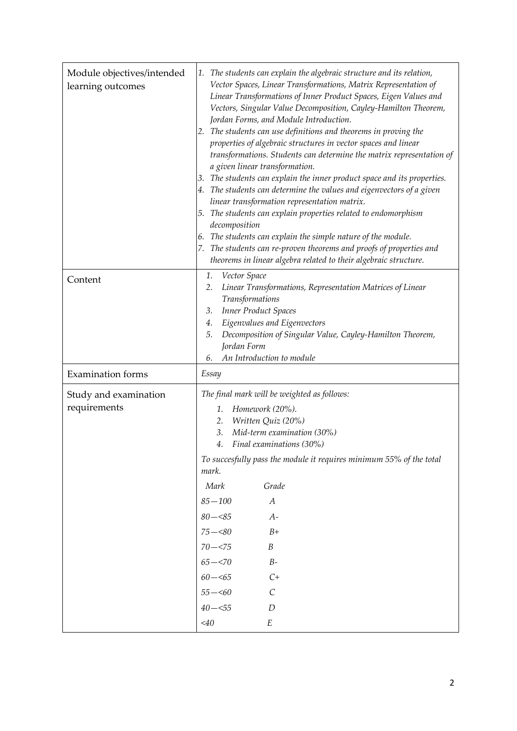| Module objectives/intended<br>learning outcomes | 1. The students can explain the algebraic structure and its relation,<br>Vector Spaces, Linear Transformations, Matrix Representation of<br>Linear Transformations of Inner Product Spaces, Eigen Values and<br>Vectors, Singular Value Decomposition, Cayley-Hamilton Theorem,<br>Jordan Forms, and Module Introduction.<br>The students can use definitions and theorems in proving the<br>2.<br>properties of algebraic structures in vector spaces and linear<br>transformations. Students can determine the matrix representation of<br>a given linear transformation.<br>The students can explain the inner product space and its properties.<br>3.<br>The students can determine the values and eigenvectors of a given<br>4.<br>linear transformation representation matrix.<br>5. The students can explain properties related to endomorphism<br>decomposition<br>The students can explain the simple nature of the module.<br>6.<br>The students can re-proven theorems and proofs of properties and<br>theorems in linear algebra related to their algebraic structure. |
|-------------------------------------------------|------------------------------------------------------------------------------------------------------------------------------------------------------------------------------------------------------------------------------------------------------------------------------------------------------------------------------------------------------------------------------------------------------------------------------------------------------------------------------------------------------------------------------------------------------------------------------------------------------------------------------------------------------------------------------------------------------------------------------------------------------------------------------------------------------------------------------------------------------------------------------------------------------------------------------------------------------------------------------------------------------------------------------------------------------------------------------------|
| Content                                         | Vector Space<br>1.<br>Linear Transformations, Representation Matrices of Linear<br>2.                                                                                                                                                                                                                                                                                                                                                                                                                                                                                                                                                                                                                                                                                                                                                                                                                                                                                                                                                                                              |
|                                                 | Transformations                                                                                                                                                                                                                                                                                                                                                                                                                                                                                                                                                                                                                                                                                                                                                                                                                                                                                                                                                                                                                                                                    |
|                                                 | Inner Product Spaces<br>3.<br>Eigenvalues and Eigenvectors<br>4.                                                                                                                                                                                                                                                                                                                                                                                                                                                                                                                                                                                                                                                                                                                                                                                                                                                                                                                                                                                                                   |
|                                                 | Decomposition of Singular Value, Cayley-Hamilton Theorem,<br>5.                                                                                                                                                                                                                                                                                                                                                                                                                                                                                                                                                                                                                                                                                                                                                                                                                                                                                                                                                                                                                    |
|                                                 | Jordan Form                                                                                                                                                                                                                                                                                                                                                                                                                                                                                                                                                                                                                                                                                                                                                                                                                                                                                                                                                                                                                                                                        |
|                                                 | An Introduction to module<br>6.                                                                                                                                                                                                                                                                                                                                                                                                                                                                                                                                                                                                                                                                                                                                                                                                                                                                                                                                                                                                                                                    |
| <b>Examination</b> forms                        | Essay                                                                                                                                                                                                                                                                                                                                                                                                                                                                                                                                                                                                                                                                                                                                                                                                                                                                                                                                                                                                                                                                              |
| Study and examination                           | The final mark will be weighted as follows:                                                                                                                                                                                                                                                                                                                                                                                                                                                                                                                                                                                                                                                                                                                                                                                                                                                                                                                                                                                                                                        |
| requirements                                    | Homework (20%).<br>1.                                                                                                                                                                                                                                                                                                                                                                                                                                                                                                                                                                                                                                                                                                                                                                                                                                                                                                                                                                                                                                                              |
|                                                 | Written Quiz (20%)<br>2.<br>Mid-term examination (30%)<br>3.                                                                                                                                                                                                                                                                                                                                                                                                                                                                                                                                                                                                                                                                                                                                                                                                                                                                                                                                                                                                                       |
|                                                 | Final examinations (30%)<br>4.                                                                                                                                                                                                                                                                                                                                                                                                                                                                                                                                                                                                                                                                                                                                                                                                                                                                                                                                                                                                                                                     |
|                                                 | To succesfully pass the module it requires minimum 55% of the total<br>mark.                                                                                                                                                                                                                                                                                                                                                                                                                                                                                                                                                                                                                                                                                                                                                                                                                                                                                                                                                                                                       |
|                                                 | Grade<br>Mark                                                                                                                                                                                                                                                                                                                                                                                                                                                                                                                                                                                                                                                                                                                                                                                                                                                                                                                                                                                                                                                                      |
|                                                 | $85 - 100$<br>$\boldsymbol{A}$                                                                                                                                                                                                                                                                                                                                                                                                                                                                                                                                                                                                                                                                                                                                                                                                                                                                                                                                                                                                                                                     |
|                                                 | $80 - 85$<br>$A-$                                                                                                                                                                                                                                                                                                                                                                                                                                                                                                                                                                                                                                                                                                                                                                                                                                                                                                                                                                                                                                                                  |
|                                                 | $75 - 80$<br>$B+$                                                                                                                                                                                                                                                                                                                                                                                                                                                                                                                                                                                                                                                                                                                                                                                                                                                                                                                                                                                                                                                                  |
|                                                 | $70 - < 75$<br>$\boldsymbol{B}$                                                                                                                                                                                                                                                                                                                                                                                                                                                                                                                                                                                                                                                                                                                                                                                                                                                                                                                                                                                                                                                    |
|                                                 | $65 - 570$<br>$B\hbox{-}$                                                                                                                                                                                                                                                                                                                                                                                                                                                                                                                                                                                                                                                                                                                                                                                                                                                                                                                                                                                                                                                          |
|                                                 | $60 - \leq 65$<br>$C+$                                                                                                                                                                                                                                                                                                                                                                                                                                                                                                                                                                                                                                                                                                                                                                                                                                                                                                                                                                                                                                                             |
|                                                 | $\cal C$<br>$55-\!\!<\!\!60$                                                                                                                                                                                                                                                                                                                                                                                                                                                                                                                                                                                                                                                                                                                                                                                                                                                                                                                                                                                                                                                       |
|                                                 | $40 - 55$<br>D                                                                                                                                                                                                                                                                                                                                                                                                                                                                                                                                                                                                                                                                                                                                                                                                                                                                                                                                                                                                                                                                     |
|                                                 | $<$ 40<br>E                                                                                                                                                                                                                                                                                                                                                                                                                                                                                                                                                                                                                                                                                                                                                                                                                                                                                                                                                                                                                                                                        |